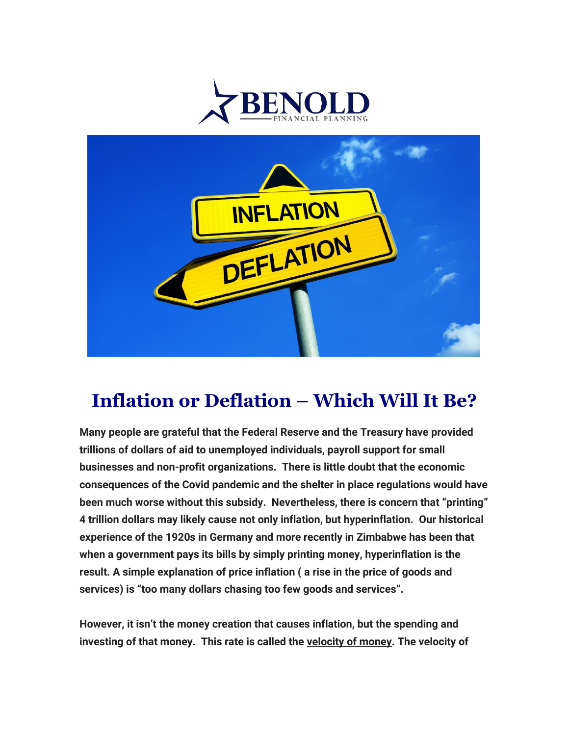



## **Inflation or Deflation – Which Will It Be?**

**Many people are grateful that the Federal Reserve and the Treasury have provided trillions of dollars of aid to unemployed individuals, payroll support for small businesses and non-profit organizations. There is little doubt that the economic consequences of the Covid pandemic and the shelter in place regulations would have been much worse without this subsidy. Nevertheless, there is concern that "printing" 4 trillion dollars may likely cause not only inflation, but hyperinflation. Our historical experience of the 1920s in Germany and more recently in Zimbabwe has been that when a government pays its bills by simply printing money, hyperinflation is the result. A simple explanation of price inflation ( a rise in the price of goods and services) is "too many dollars chasing too few goods and services".**

**However, it isn't the money creation that causes inflation, but the spending and investing of that money. This rate is called the velocity of money. The velocity of**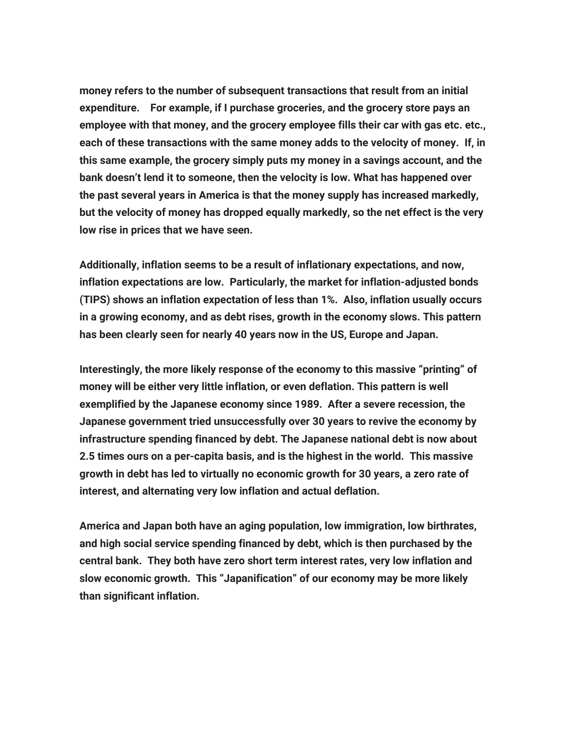**money refers to the number of subsequent transactions that result from an initial expenditure. For example, if I purchase groceries, and the grocery store pays an employee with that money, and the grocery employee fills their car with gas etc. etc., each of these transactions with the same money adds to the velocity of money. If, in this same example, the grocery simply puts my money in a savings account, and the bank doesn't lend it to someone, then the velocity is low. What has happened over the past several years in America is that the money supply has increased markedly, but the velocity of money has dropped equally markedly, so the net effect is the very low rise in prices that we have seen.**

**Additionally, inflation seems to be a result of inflationary expectations, and now, inflation expectations are low. Particularly, the market for inflation-adjusted bonds (TIPS) shows an inflation expectation of less than 1%. Also, inflation usually occurs in a growing economy, and as debt rises, growth in the economy slows. This pattern has been clearly seen for nearly 40 years now in the US, Europe and Japan.**

**Interestingly, the more likely response of the economy to this massive "printing" of money will be either very little inflation, or even deflation. This pattern is well exemplified by the Japanese economy since 1989. After a severe recession, the Japanese government tried unsuccessfully over 30 years to revive the economy by infrastructure spending financed by debt. The Japanese national debt is now about 2.5 times ours on a per-capita basis, and is the highest in the world. This massive growth in debt has led to virtually no economic growth for 30 years, a zero rate of interest, and alternating very low inflation and actual deflation.**

**America and Japan both have an aging population, low immigration, low birthrates, and high social service spending financed by debt, which is then purchased by the central bank. They both have zero short term interest rates, very low inflation and slow economic growth. This "Japanification" of our economy may be more likely than significant inflation.**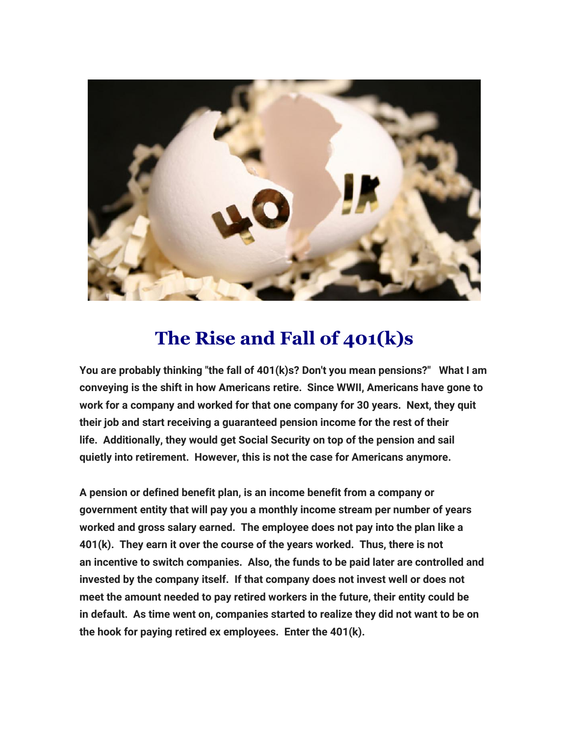

## **The Rise and Fall of 401(k)s**

**You are probably thinking "the fall of 401(k)s? Don't you mean pensions?" What I am conveying is the shift in how Americans retire. Since WWII, Americans have gone to work for a company and worked for that one company for 30 years. Next, they quit their job and start receiving a guaranteed pension income for the rest of their life. Additionally, they would get Social Security on top of the pension and sail quietly into retirement. However, this is not the case for Americans anymore.**

**A pension or defined benefit plan, is an income benefit from a company or government entity that will pay you a monthly income stream per number of years worked and gross salary earned. The employee does not pay into the plan like a 401(k). They earn it over the course of the years worked. Thus, there is not an incentive to switch companies. Also, the funds to be paid later are controlled and invested by the company itself. If that company does not invest well or does not meet the amount needed to pay retired workers in the future, their entity could be in default. As time went on, companies started to realize they did not want to be on the hook for paying retired ex employees. Enter the 401(k).**